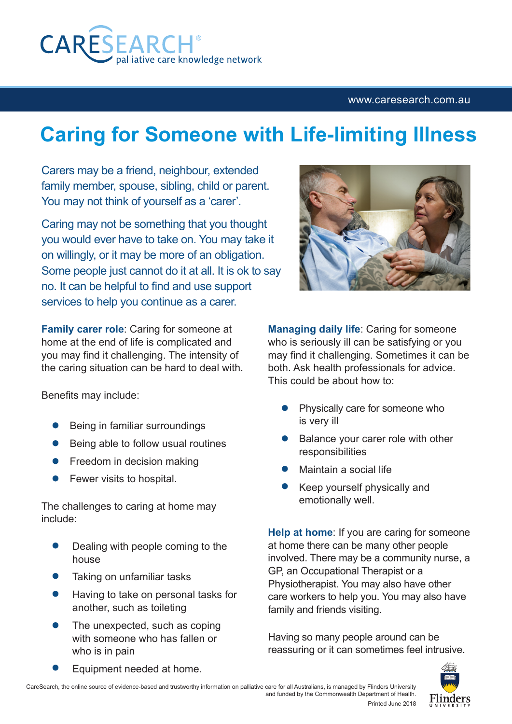

## <www.caresearch.com.au>

## **Caring for Someone with Life-limiting Illness**

Carers may be a friend, neighbour, extended family member, spouse, sibling, child or parent. You may not think of yourself as a 'carer'.

Caring may not be something that you thought you would ever have to take on. You may take it on willingly, or it may be more of an obligation. Some people just cannot do it at all. It is ok to say no. It can be helpful to find and use support services to help you continue as a carer.

**Family carer role**: Caring for someone at home at the end of life is complicated and you may find it challenging. The intensity of the caring situation can be hard to deal with.

Benefits may include:

- **•** Being in familiar surroundings
- Being able to follow usual routines
- Freedom in decision making
- Fewer visits to hospital.

The challenges to caring at home may include:

- Dealing with people coming to the house
- Taking on unfamiliar tasks
- Having to take on personal tasks for another, such as toileting
- The unexpected, such as coping with someone who has fallen or who is in pain





**Managing daily life**: Caring for someone who is seriously ill can be satisfying or you may find it challenging. Sometimes it can be both. Ask health professionals for advice. This could be about how to:

- Physically care for someone who is very ill
- Balance your carer role with other responsibilities
- Maintain a social life
- Keep yourself physically and emotionally well.

**Help at home**: If you are caring for someone at home there can be many other people involved. There may be a community nurse, a GP, an Occupational Therapist or a Physiotherapist. You may also have other care workers to help you. You may also have family and friends visiting.

Having so many people around can be reassuring or it can sometimes feel intrusive.



Equipment needed at home.

CareSearch, the online source of evidence-based and trustworthy information on palliative care for all Australians, is managed by Flinders University and funded by the Commonwealth Department of Health.